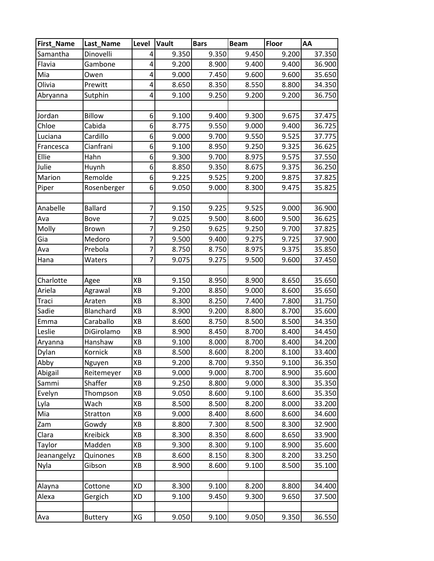| First_Name  | Last_Name      | Level          | <b>Vault</b> | <b>Bars</b> | <b>Beam</b> | Floor | AA     |
|-------------|----------------|----------------|--------------|-------------|-------------|-------|--------|
| Samantha    | Dinovelli      | 4              | 9.350        | 9.350       | 9.450       | 9.200 | 37.350 |
| Flavia      | Gambone        | 4              | 9.200        | 8.900       | 9.400       | 9.400 | 36.900 |
| Mia         | Owen           | $\overline{4}$ | 9.000        | 7.450       | 9.600       | 9.600 | 35.650 |
| Olivia      | Prewitt        | 4              | 8.650        | 8.350       | 8.550       | 8.800 | 34.350 |
| Abryanna    | Sutphin        | 4              | 9.100        | 9.250       | 9.200       | 9.200 | 36.750 |
|             |                |                |              |             |             |       |        |
| Jordan      | <b>Billow</b>  | 6              | 9.100        | 9.400       | 9.300       | 9.675 | 37.475 |
| Chloe       | Cabida         | 6              | 8.775        | 9.550       | 9.000       | 9.400 | 36.725 |
| Luciana     | Cardillo       | 6              | 9.000        | 9.700       | 9.550       | 9.525 | 37.775 |
| Francesca   | Cianfrani      | 6              | 9.100        | 8.950       | 9.250       | 9.325 | 36.625 |
| Ellie       | Hahn           | 6              | 9.300        | 9.700       | 8.975       | 9.575 | 37.550 |
| Julie       | Huynh          | 6              | 8.850        | 9.350       | 8.675       | 9.375 | 36.250 |
| Marion      | Remolde        | 6              | 9.225        | 9.525       | 9.200       | 9.875 | 37.825 |
| Piper       | Rosenberger    | 6              | 9.050        | 9.000       | 8.300       | 9.475 | 35.825 |
|             |                |                |              |             |             |       |        |
| Anabelle    | <b>Ballard</b> | $\overline{7}$ | 9.150        | 9.225       | 9.525       | 9.000 | 36.900 |
| Ava         | Bove           | $\overline{7}$ | 9.025        | 9.500       | 8.600       | 9.500 | 36.625 |
| Molly       | <b>Brown</b>   | $\overline{7}$ | 9.250        | 9.625       | 9.250       | 9.700 | 37.825 |
| Gia         | Medoro         | 7              | 9.500        | 9.400       | 9.275       | 9.725 | 37.900 |
| Ava         | Prebola        | $\overline{7}$ | 8.750        | 8.750       | 8.975       | 9.375 | 35.850 |
| Hana        | Waters         | $\overline{7}$ | 9.075        | 9.275       | 9.500       | 9.600 | 37.450 |
|             |                |                |              |             |             |       |        |
| Charlotte   | Agee           | XB             | 9.150        | 8.950       | 8.900       | 8.650 | 35.650 |
| Ariela      | Agrawal        | XB             | 9.200        | 8.850       | 9.000       | 8.600 | 35.650 |
| Traci       | Araten         | XB             | 8.300        | 8.250       | 7.400       | 7.800 | 31.750 |
| Sadie       | Blanchard      | XB             | 8.900        | 9.200       | 8.800       | 8.700 | 35.600 |
| Emma        | Caraballo      | XB             | 8.600        | 8.750       | 8.500       | 8.500 | 34.350 |
| Leslie      | DiGirolamo     | XB             | 8.900        | 8.450       | 8.700       | 8.400 | 34.450 |
| Aryanna     | Hanshaw        | XB             | 9.100        | 8.000       | 8.700       | 8.400 | 34.200 |
| Dylan       | Kornick        | XB             | 8.500        | 8.600       | 8.200       | 8.100 | 33.400 |
| Abby        | Nguyen         | XB             | 9.200        | 8.700       | 9.350       | 9.100 | 36.350 |
| Abigail     | Reitemeyer     | XB             | 9.000        | 9.000       | 8.700       | 8.900 | 35.600 |
| Sammi       | Shaffer        | ΧB             | 9.250        | 8.800       | 9.000       | 8.300 | 35.350 |
| Evelyn      | Thompson       | XB             | 9.050        | 8.600       | 9.100       | 8.600 | 35.350 |
| Lyla        | Wach           | ΧB             | 8.500        | 8.500       | 8.200       | 8.000 | 33.200 |
| Mia         | Stratton       | XB             | 9.000        | 8.400       | 8.600       | 8.600 | 34.600 |
| Zam         | Gowdy          | XB             | 8.800        | 7.300       | 8.500       | 8.300 | 32.900 |
| Clara       | Kreibick       | XB             | 8.300        | 8.350       | 8.600       | 8.650 | 33.900 |
| Taylor      | Madden         | XB             | 9.300        | 8.300       | 9.100       | 8.900 | 35.600 |
| Jeanangelyz | Quinones       | ΧB             | 8.600        | 8.150       | 8.300       | 8.200 | 33.250 |
| Nyla        | Gibson         | XB             | 8.900        | 8.600       | 9.100       | 8.500 | 35.100 |
|             |                |                |              |             |             |       |        |
| Alayna      | Cottone        | XD             | 8.300        | 9.100       | 8.200       | 8.800 | 34.400 |
| Alexa       | Gergich        | XD             | 9.100        | 9.450       | 9.300       | 9.650 | 37.500 |
| Ava         | <b>Buttery</b> | XG             | 9.050        | 9.100       | 9.050       | 9.350 | 36.550 |